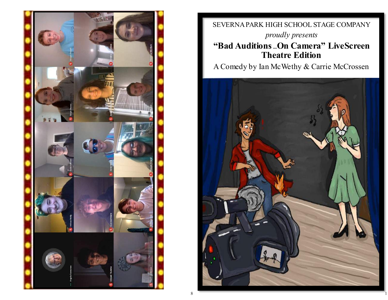

SEVERNA PARK HIGH SCHOOL STAGE COMPANY *proudly presents*

### **"Bad Auditions …On Camera" LiveScreen Theatre Edition**

A Comedy by Ian McWethy & Carrie McCrossen

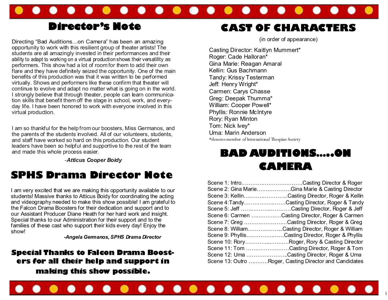

## **Director's Note**

Directing "Bad Auditions...on Camera" has been an amazing portunity to work with this resilient group of theater artists! The students are all amazingly invested in their performances and their ability to adapt to working on a virtual production shows their versatility as performers. This show had a lot of room for them to add their own flare and they have definitely seized the opportunity. One of the main benefits of this production was that it was written to be performed virtually. Shows and performers like these confirm that theater will continue to evolve and adapt no matter what is going on in the world. I strongly believe that through theater, people can learn communication skills that benefit them off the stage in school, work, and everyday life. I have been honored to work with everyone involved in this virtual production.

I am so thankful for the help from our boosters, Miss Germanos, and the parents of the students involved. All of our volunteers, students, and staff have worked so hard on this production. Our student leaders have been so helpful and supportive to the rest of the team and made this whole process easier.

-*Atticus Cooper Boidy*

## **SPHS Drama Director Note**

I am very excited that we are making this opportunity available to our students! Massive thanks to Atticus Boidy for coordinating the acting and videography needed to make this show possible! I am grateful to the Falcon Drama Boosters for their dedication and support and to our Assistant Producer Diane Heath for her hard work and insight. Special thanks to our Administration for their support and to the families of these cast who support their kids every day! Enjoy the show!

*-Angela Germanos, SPHS Drama Director*

**Special Thanks to Falcon Drama Boosters for all their help and support in making this show possible.**

## **CAST OF CHARACTERS**

(in order of appearance)

Casting Director: Kaitlyn Mummert\* Roger: Cade Halloran\* Gina Marie: Reagan Amaral Kellin: Gus Bachmann Tandy: Krissy Testerman Jeff: Henry Wright\* Carmen: Carys Chasse Greg: Deepak Thumma\* William: Cooper Powell\* Phyllis: Ronnie McIntyre Rory: Ryan Minton Tom: Nick Ivey\* Uma: Marin Anderson \*denotes member of International Thespian Society

# **BAD AUDITIONS…..ON CAMERA**

| Scene 1: IntroCasting Director & Roger                 |
|--------------------------------------------------------|
| Scene 2: Gina MarieGina Marie & Casting Director       |
| Scene 3: KellinCasting Director, Roger & Kellin        |
| Scene 4: TandyCasting Director, Roger & Tandy          |
| Scene 5: Jeff Casting Director, Roger & Jeff           |
| Scene 6: Carmen Casting Director, Roger & Carmen       |
| Scene 7: Greg Casting Director, Roger & Greg           |
| Scene 8: WilliamCasting Director, Roger & William      |
| Scene 9: PhyllisCasting Director, Roger & Phyllis      |
| Scene 10: RoryRoger, Rory & Casting Director           |
| Scene 11: Tom Casting Director, Roger & Tom            |
| Scene 12: Uma Casting Director, Roger & Uma            |
| Scene 13: Outro Roger, Casting Director and Candidates |
|                                                        |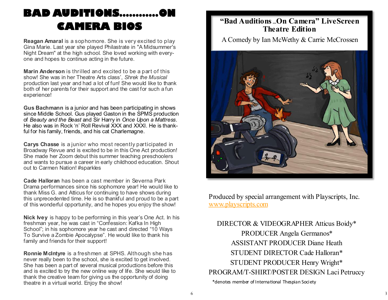# **BAD AUDITIONS…………ON CAMERA BIOS**

**Reagan Amaral** is a sophomore. She is very excited to play Gina Marie. Last year she played Philastrate in "A Midsummer's Night Dream" at the high school. She loved working with everyone and hopes to continue acting in the future.

**Marin Anderson** is thrilled and excited to be a part of this show! She was in her Theatre Arts class', *Shrek the Musical* production last year and had a lot of fun! She would like to thank both of her parents for their support and the cast for such a fun experience!

**Gus Bachmann** is a junior and has been participating in shows since Middle School. Gus played Gaston in the SPMS production of *Beauty and the Beast* and Sir Harry in *Once Upon a Mattress*. He also was in Rock 'n' Roll Revival XXX and XXXI. He is thankful for his family, friends, and his cat Charlemagne.

**Carys Chasse** is a junior who most recently participated in Broadway Revue and is excited to be in this One Act production! She made her Zoom debut this summer teaching preschoolers and wants to pursue a career in early childhood education. Shout out to Carmen Nation! #sparkles

**Cade Halloran** has been a cast member in Severna Park Drama performances since his sophomore year! He would like to thank Miss G. and Atticus for continuing to have shows during this unprecedented time. He is so thankful and proud to be a part of this wonderful opportunity, and he hopes you enjoy the show!

**Nick Ivey** is happy to be performing in this year's One Act. In his freshman year, he was cast in "Confession: Kafka In High School"; in his sophomore year he cast and directed "10 Ways To Survive a Zombie Apocalypse". He would like to thank his family and friends for their support!

**Ronnie McIntyre** is a freshmen at SPHS. Although she has never really been to the school, she is excited to get involved. She has been a part of several musical productions before this and is excited to try the new online way of life. She would like to thank the creative team for giving us the opportunity of doing theatre in a virtual world. Enjoy the show!

### **"Bad Auditions …On Camera" LiveScreen Theatre Edition**

A Comedy by Ian McWethy & Carrie McCrossen



Produced by special arrangement with Playscripts, Inc. [www.playscripts.com](http://www.playscripts.com/)

DIRECTOR & VIDEOGRAPHER Atticus Boidy\* PRODUCER Angela Germanos\* ASSISTANT PRODUCER Diane Heath STUDENT DIRECTOR Cade Halloran\* STUDENT PRODUCER Henry Wright\* PROGRAM/T-SHIRT/POSTER DESIGN Laci Petruccy \*denotes member of International Thespian Society